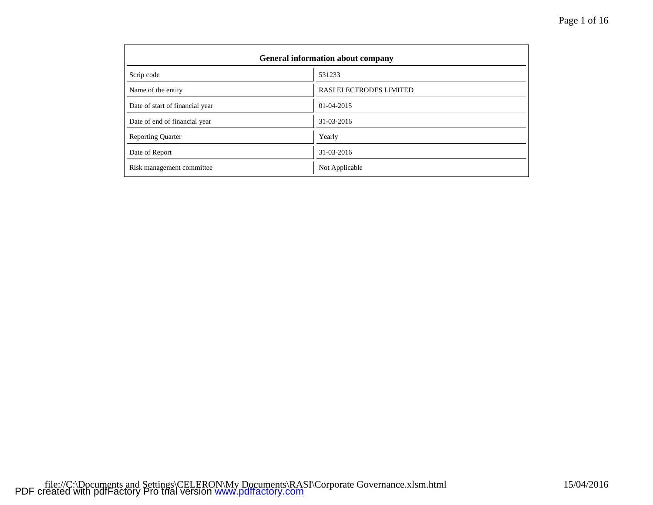| <b>General information about company</b> |                         |  |  |  |
|------------------------------------------|-------------------------|--|--|--|
| Scrip code                               | 531233                  |  |  |  |
| Name of the entity                       | RASI ELECTRODES LIMITED |  |  |  |
| Date of start of financial year          | 01-04-2015              |  |  |  |
| Date of end of financial year            | $31 - 03 - 2016$        |  |  |  |
| <b>Reporting Quarter</b>                 | Yearly                  |  |  |  |
| Date of Report                           | 31-03-2016              |  |  |  |
| Risk management committee                | Not Applicable          |  |  |  |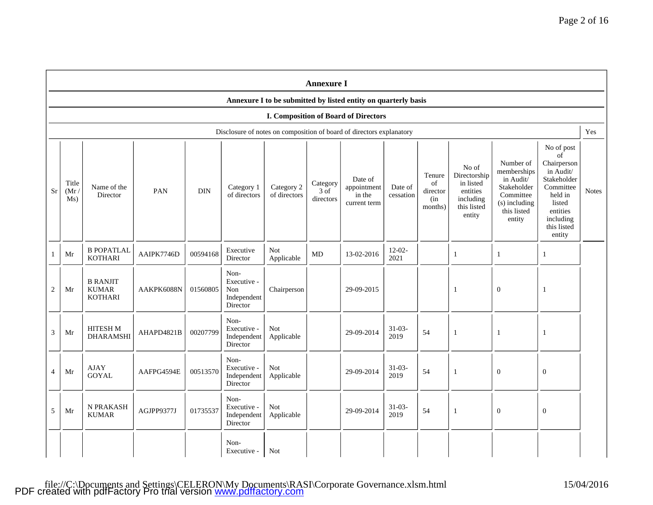|                | <b>Annexure I</b>                                              |                                                   |            |            |                                                       |                            |                               |                                                                      |                      |                                            |                                                                                      |                                                                                                             |                                                                                                                                                 |              |
|----------------|----------------------------------------------------------------|---------------------------------------------------|------------|------------|-------------------------------------------------------|----------------------------|-------------------------------|----------------------------------------------------------------------|----------------------|--------------------------------------------|--------------------------------------------------------------------------------------|-------------------------------------------------------------------------------------------------------------|-------------------------------------------------------------------------------------------------------------------------------------------------|--------------|
|                | Annexure I to be submitted by listed entity on quarterly basis |                                                   |            |            |                                                       |                            |                               |                                                                      |                      |                                            |                                                                                      |                                                                                                             |                                                                                                                                                 |              |
|                |                                                                |                                                   |            |            |                                                       |                            |                               | <b>I. Composition of Board of Directors</b>                          |                      |                                            |                                                                                      |                                                                                                             |                                                                                                                                                 |              |
|                |                                                                |                                                   |            |            |                                                       |                            |                               | Disclosure of notes on composition of board of directors explanatory |                      |                                            |                                                                                      |                                                                                                             |                                                                                                                                                 | Yes          |
| Sr             | Title<br>(Mr)<br>Ms)                                           | Name of the<br>Director                           | PAN        | <b>DIN</b> | Category 1<br>of directors                            | Category 2<br>of directors | Category<br>3 of<br>directors | Date of<br>appointment<br>in the<br>current term                     | Date of<br>cessation | Tenure<br>of<br>director<br>(in<br>months) | No of<br>Directorship<br>in listed<br>entities<br>including<br>this listed<br>entity | Number of<br>memberships<br>in Audit/<br>Stakeholder<br>Committee<br>(s) including<br>this listed<br>entity | No of post<br>of<br>Chairperson<br>in Audit/<br>Stakeholder<br>Committee<br>held in<br>listed<br>entities<br>including<br>this listed<br>entity | <b>Notes</b> |
|                | Mr                                                             | <b>B POPATLAL</b><br><b>KOTHARI</b>               | AAIPK7746D | 00594168   | Executive<br>Director                                 | <b>Not</b><br>Applicable   | $\rm MD$                      | 13-02-2016                                                           | $12-02-$<br>2021     |                                            | -1                                                                                   | 1                                                                                                           | $\mathbf{1}$                                                                                                                                    |              |
| 2              | Mr                                                             | <b>B RANJIT</b><br><b>KUMAR</b><br><b>KOTHARI</b> | AAKPK6088N | 01560805   | Non-<br>Executive -<br>Non<br>Independent<br>Director | Chairperson                |                               | 29-09-2015                                                           |                      |                                            | 1                                                                                    | $\mathbf{0}$                                                                                                | $\mathbf{1}$                                                                                                                                    |              |
| 3              | Mr                                                             | HITESH M<br><b>DHARAMSHI</b>                      | AHAPD4821B | 00207799   | Non-<br>Executive -<br>Independent<br>Director        | Not<br>Applicable          |                               | 29-09-2014                                                           | $31 - 03 -$<br>2019  | 54                                         | -1                                                                                   | $\mathbf{1}$                                                                                                | $\mathbf{1}$                                                                                                                                    |              |
| $\overline{4}$ | Mr                                                             | <b>AJAY</b><br><b>GOYAL</b>                       | AAFPG4594E | 00513570   | Non-<br>Executive -<br>Independent<br>Director        | Not<br>Applicable          |                               | 29-09-2014                                                           | $31-03-$<br>2019     | 54                                         | -1                                                                                   | $\overline{0}$                                                                                              | $\theta$                                                                                                                                        |              |
| 5              | Mr                                                             | N PRAKASH<br><b>KUMAR</b>                         | AGJPP9377J | 01735537   | Non-<br>Executive -<br>Independent<br>Director        | Not<br>Applicable          |                               | 29-09-2014                                                           | $31-03-$<br>2019     | 54                                         | -1                                                                                   | $\mathbf{0}$                                                                                                | $\mathbf{0}$                                                                                                                                    |              |
|                |                                                                |                                                   |            |            | Non-<br>Executive -                                   | Not                        |                               |                                                                      |                      |                                            |                                                                                      |                                                                                                             |                                                                                                                                                 |              |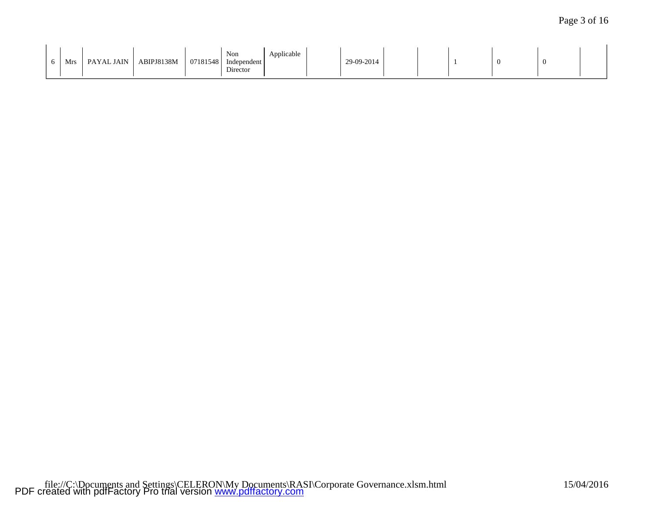| Non<br>Applicable<br>$\mathbf{r}$<br>ABIPJ8138M<br>PAYAL JAIN<br>07181548<br>Independent<br>Mr.<br>$\mathbf{r}$<br>Director | 9-09-2014 |  | л. |  |  |
|-----------------------------------------------------------------------------------------------------------------------------|-----------|--|----|--|--|
|-----------------------------------------------------------------------------------------------------------------------------|-----------|--|----|--|--|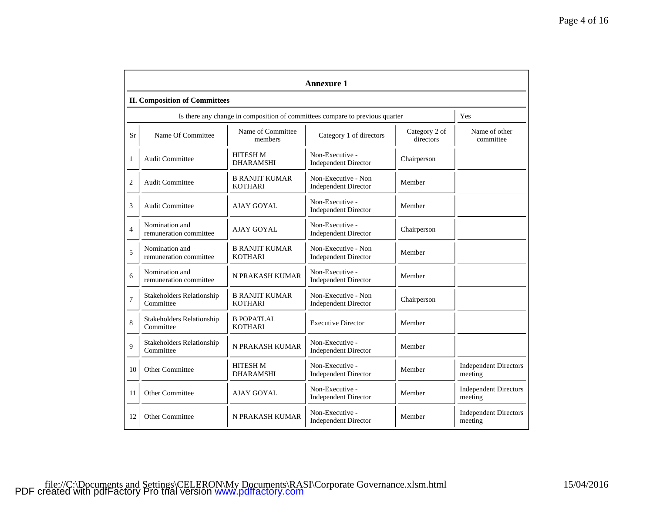|                | <b>Annexure 1</b>                                                            |                                         |                                                                              |                            |                                         |  |  |  |  |
|----------------|------------------------------------------------------------------------------|-----------------------------------------|------------------------------------------------------------------------------|----------------------------|-----------------------------------------|--|--|--|--|
|                | <b>II. Composition of Committees</b>                                         |                                         |                                                                              |                            |                                         |  |  |  |  |
|                |                                                                              |                                         | Is there any change in composition of committees compare to previous quarter |                            | Yes                                     |  |  |  |  |
| Sr             | Name of Committee<br>Name Of Committee<br>Category 1 of directors<br>members |                                         | Category 2 of<br>directors                                                   | Name of other<br>committee |                                         |  |  |  |  |
| 1              | <b>Audit Committee</b>                                                       | <b>HITESH M</b><br><b>DHARAMSHI</b>     | Non-Executive -<br><b>Independent Director</b>                               | Chairperson                |                                         |  |  |  |  |
| $\overline{2}$ | <b>Audit Committee</b>                                                       | <b>B RANJIT KUMAR</b><br><b>KOTHARI</b> | Non-Executive - Non<br><b>Independent Director</b>                           | Member                     |                                         |  |  |  |  |
| 3              | <b>Audit Committee</b>                                                       | AJAY GOYAL                              | Non-Executive -<br><b>Independent Director</b>                               | Member                     |                                         |  |  |  |  |
| $\overline{4}$ | Nomination and<br>remuneration committee                                     | AJAY GOYAL                              | Non-Executive -<br><b>Independent Director</b>                               | Chairperson                |                                         |  |  |  |  |
| 5              | Nomination and<br>remuneration committee                                     | <b>B RANJIT KUMAR</b><br><b>KOTHARI</b> | Non-Executive - Non<br><b>Independent Director</b>                           | Member                     |                                         |  |  |  |  |
| 6              | Nomination and<br>remuneration committee                                     | N PRAKASH KUMAR                         | Non-Executive -<br><b>Independent Director</b>                               | Member                     |                                         |  |  |  |  |
| $\overline{7}$ | Stakeholders Relationship<br>Committee                                       | <b>B RANJIT KUMAR</b><br><b>KOTHARI</b> | Non-Executive - Non<br><b>Independent Director</b>                           | Chairperson                |                                         |  |  |  |  |
| 8              | <b>Stakeholders Relationship</b><br>Committee                                | <b>B POPATLAL</b><br><b>KOTHARI</b>     | <b>Executive Director</b>                                                    | Member                     |                                         |  |  |  |  |
| $\mathbf{Q}$   | Stakeholders Relationship<br>Committee                                       | N PRAKASH KUMAR                         | Non-Executive -<br><b>Independent Director</b>                               | Member                     |                                         |  |  |  |  |
| 10             | <b>Other Committee</b>                                                       | <b>HITESH M</b><br><b>DHARAMSHI</b>     | Non-Executive -<br><b>Independent Director</b>                               | Member                     | <b>Independent Directors</b><br>meeting |  |  |  |  |
| 11             | Other Committee                                                              | AJAY GOYAL                              | Non-Executive -<br><b>Independent Director</b>                               | Member                     | <b>Independent Directors</b><br>meeting |  |  |  |  |
| 12             | <b>Other Committee</b>                                                       | N PRAKASH KUMAR                         | Non-Executive -<br><b>Independent Director</b>                               | Member                     | <b>Independent Directors</b><br>meeting |  |  |  |  |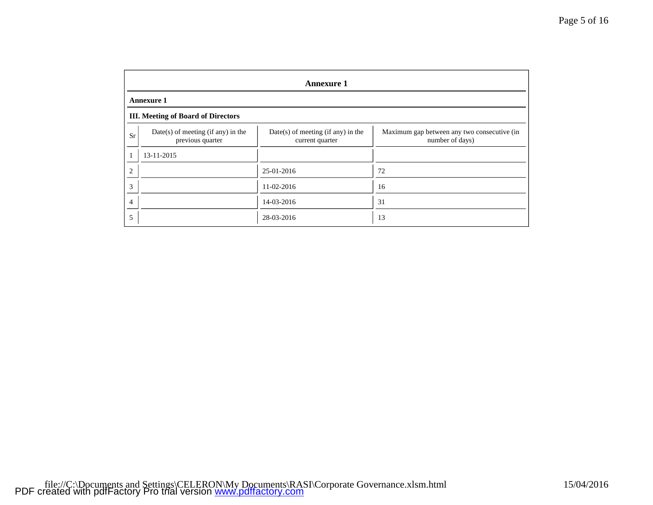|    | <b>Annexure 1</b>                                        |                                                         |                                                                |  |  |  |  |
|----|----------------------------------------------------------|---------------------------------------------------------|----------------------------------------------------------------|--|--|--|--|
|    | <b>Annexure 1</b>                                        |                                                         |                                                                |  |  |  |  |
|    | <b>III.</b> Meeting of Board of Directors                |                                                         |                                                                |  |  |  |  |
| Sr | $Date(s)$ of meeting (if any) in the<br>previous quarter | $Date(s)$ of meeting (if any) in the<br>current quarter | Maximum gap between any two consecutive (in<br>number of days) |  |  |  |  |
|    | 13-11-2015                                               |                                                         |                                                                |  |  |  |  |
| 2  |                                                          | 25-01-2016                                              | 72                                                             |  |  |  |  |
| 3  |                                                          | 11-02-2016                                              | 16                                                             |  |  |  |  |
| 4  |                                                          | 14-03-2016                                              | 31                                                             |  |  |  |  |
| 5  |                                                          | 28-03-2016                                              | 13                                                             |  |  |  |  |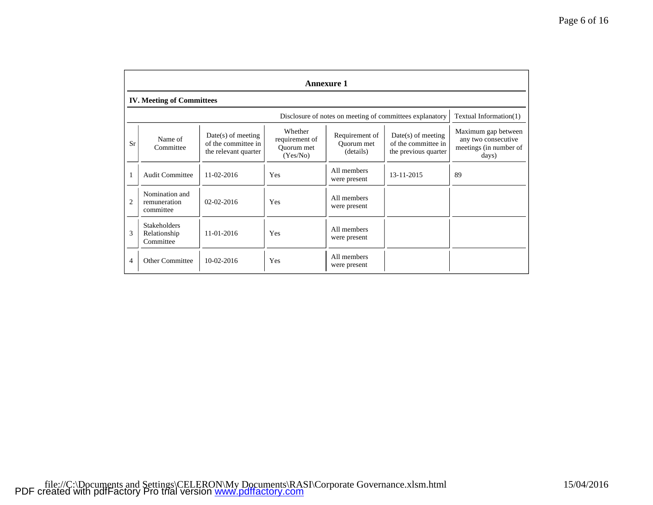|                | <b>Annexure 1</b>                                                                                                                                                                                                                                                      |                  |                                                                               |                             |                                                          |                        |  |
|----------------|------------------------------------------------------------------------------------------------------------------------------------------------------------------------------------------------------------------------------------------------------------------------|------------------|-------------------------------------------------------------------------------|-----------------------------|----------------------------------------------------------|------------------------|--|
|                | <b>IV.</b> Meeting of Committees                                                                                                                                                                                                                                       |                  |                                                                               |                             |                                                          |                        |  |
|                |                                                                                                                                                                                                                                                                        |                  |                                                                               |                             | Disclosure of notes on meeting of committees explanatory | Textual Information(1) |  |
| Sr             | Whether<br>Requirement of<br>$Date(s)$ of meeting<br>$Date(s)$ of meeting<br>Name of<br>requirement of<br>of the committee in<br>of the committee in<br>Ouorum met<br>Committee<br>Ouorum met<br>(details)<br>the previous quarter<br>the relevant quarter<br>(Yes/No) |                  | Maximum gap between<br>any two consecutive<br>meetings (in number of<br>days) |                             |                                                          |                        |  |
|                | <b>Audit Committee</b>                                                                                                                                                                                                                                                 | $11 - 02 - 2016$ | Yes                                                                           | All members<br>were present | 13-11-2015                                               | 89                     |  |
| $\overline{2}$ | Nomination and<br>remuneration<br>committee                                                                                                                                                                                                                            | $02 - 02 - 2016$ | Yes                                                                           | All members<br>were present |                                                          |                        |  |
| 3              | <b>Stakeholders</b><br>Relationship<br>Committee                                                                                                                                                                                                                       | 11-01-2016       | Yes                                                                           | All members<br>were present |                                                          |                        |  |
| 4              | <b>Other Committee</b>                                                                                                                                                                                                                                                 | $10-02-2016$     | Yes                                                                           | All members<br>were present |                                                          |                        |  |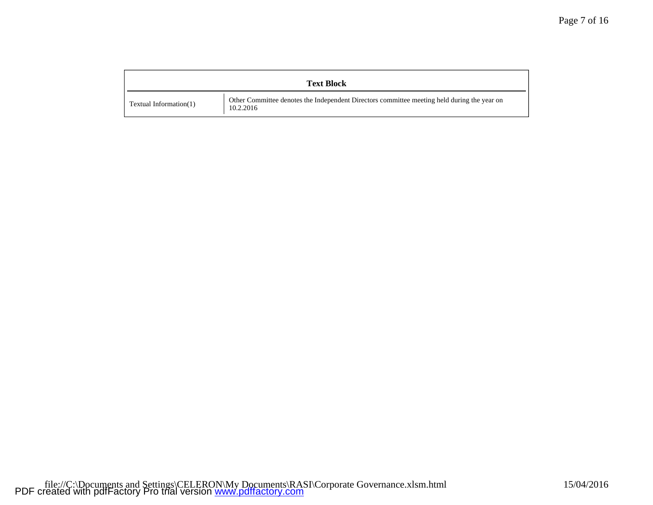|                           | <b>Text Block</b>                                                                                        |
|---------------------------|----------------------------------------------------------------------------------------------------------|
| Textual Information $(1)$ | Other Committee denotes the Independent Directors committee meeting held during the year on<br>10.2.2016 |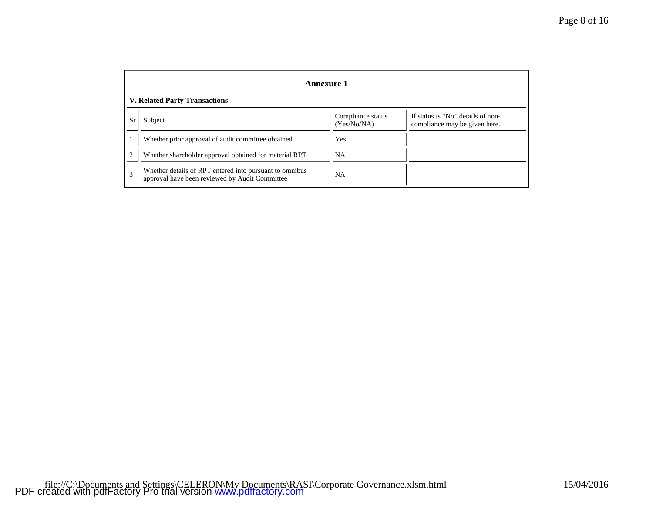|                | <b>Annexure 1</b>                                                                                         |                                  |                                                                    |  |  |  |  |
|----------------|-----------------------------------------------------------------------------------------------------------|----------------------------------|--------------------------------------------------------------------|--|--|--|--|
|                | <b>V. Related Party Transactions</b>                                                                      |                                  |                                                                    |  |  |  |  |
| Sr             | Subject                                                                                                   | Compliance status<br>(Yes/No/NA) | If status is "No" details of non-<br>compliance may be given here. |  |  |  |  |
|                | Whether prior approval of audit committee obtained                                                        | Yes                              |                                                                    |  |  |  |  |
| $\overline{2}$ | Whether shareholder approval obtained for material RPT                                                    | NA                               |                                                                    |  |  |  |  |
| 3              | Whether details of RPT entered into pursuant to omnibus<br>approval have been reviewed by Audit Committee | <b>NA</b>                        |                                                                    |  |  |  |  |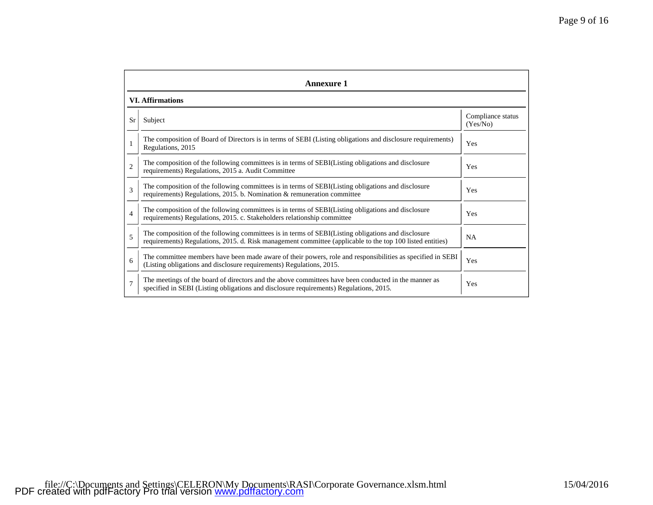|                | <b>Annexure 1</b>                                                                                                                                                                                               |                               |  |  |  |  |
|----------------|-----------------------------------------------------------------------------------------------------------------------------------------------------------------------------------------------------------------|-------------------------------|--|--|--|--|
|                | <b>VI. Affirmations</b>                                                                                                                                                                                         |                               |  |  |  |  |
| Sr             | Subject                                                                                                                                                                                                         | Compliance status<br>(Yes/No) |  |  |  |  |
|                | The composition of Board of Directors is in terms of SEBI (Listing obligations and disclosure requirements)<br>Regulations, 2015                                                                                | Yes                           |  |  |  |  |
| $\overline{2}$ | The composition of the following committees is in terms of SEBI(Listing obligations and disclosure<br>requirements) Regulations, 2015 a. Audit Committee                                                        | Yes                           |  |  |  |  |
| 3              | The composition of the following committees is in terms of SEBI(Listing obligations and disclosure<br>requirements) Regulations, 2015. b. Nomination & remuneration committee                                   | Yes                           |  |  |  |  |
| $\overline{4}$ | The composition of the following committees is in terms of SEBI(Listing obligations and disclosure<br>requirements) Regulations, 2015. c. Stakeholders relationship committee                                   | Yes                           |  |  |  |  |
| 5              | The composition of the following committees is in terms of SEBI(Listing obligations and disclosure<br>requirements) Regulations, 2015. d. Risk management committee (applicable to the top 100 listed entities) | NA                            |  |  |  |  |
| 6              | The committee members have been made aware of their powers, role and responsibilities as specified in SEBI<br>(Listing obligations and disclosure requirements) Regulations, 2015.                              | Yes                           |  |  |  |  |
| $\overline{7}$ | The meetings of the board of directors and the above committees have been conducted in the manner as<br>specified in SEBI (Listing obligations and disclosure requirements) Regulations, 2015.                  | Yes                           |  |  |  |  |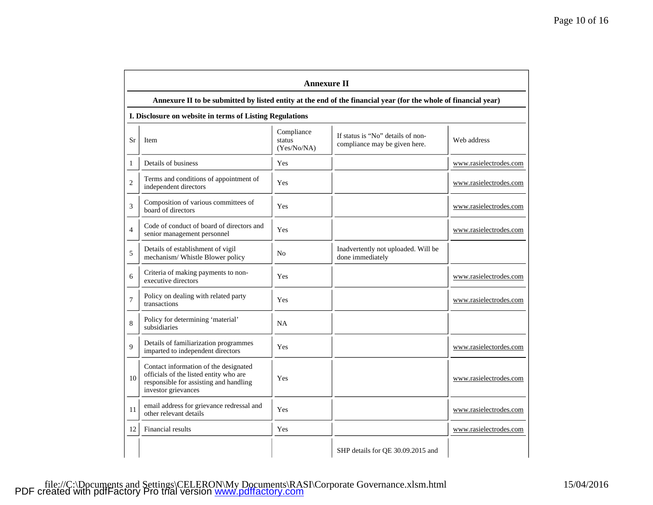|                | <b>Annexure II</b>                                                                                                                               |                                     |                                                                    |                        |  |  |
|----------------|--------------------------------------------------------------------------------------------------------------------------------------------------|-------------------------------------|--------------------------------------------------------------------|------------------------|--|--|
|                | Annexure II to be submitted by listed entity at the end of the financial year (for the whole of financial year)                                  |                                     |                                                                    |                        |  |  |
|                | I. Disclosure on website in terms of Listing Regulations                                                                                         |                                     |                                                                    |                        |  |  |
| Sr             | Item                                                                                                                                             | Compliance<br>status<br>(Yes/No/NA) | If status is "No" details of non-<br>compliance may be given here. | Web address            |  |  |
| 1              | Details of business                                                                                                                              | Yes                                 |                                                                    | www.rasielectrodes.com |  |  |
| $\mathfrak{2}$ | Terms and conditions of appointment of<br>independent directors                                                                                  | Yes                                 |                                                                    | www.rasielectrodes.com |  |  |
| 3              | Composition of various committees of<br>board of directors                                                                                       | Yes                                 |                                                                    | www.rasielectrodes.com |  |  |
| $\overline{4}$ | Code of conduct of board of directors and<br>senior management personnel                                                                         | Yes                                 |                                                                    | www.rasielectrodes.com |  |  |
| 5              | Details of establishment of vigil<br>mechanism/ Whistle Blower policy                                                                            | N <sub>o</sub>                      | Inadvertently not uploaded. Will be<br>done immediately            |                        |  |  |
| 6              | Criteria of making payments to non-<br>executive directors                                                                                       | Yes                                 |                                                                    | www.rasielectrodes.com |  |  |
| $\tau$         | Policy on dealing with related party<br>transactions                                                                                             | Yes                                 |                                                                    | www.rasielectrodes.com |  |  |
| 8              | Policy for determining 'material'<br>subsidiaries                                                                                                | <b>NA</b>                           |                                                                    |                        |  |  |
| $\mathbf{Q}$   | Details of familiarization programmes<br>imparted to independent directors                                                                       | Yes                                 |                                                                    | www.rasielectordes.com |  |  |
| 10             | Contact information of the designated<br>officials of the listed entity who are<br>responsible for assisting and handling<br>investor grievances | Yes                                 |                                                                    | www.rasielectrodes.com |  |  |
| 11             | email address for grievance redressal and<br>other relevant details                                                                              | Yes                                 |                                                                    | www.rasielectrodes.com |  |  |
| 12             | Financial results                                                                                                                                | Yes                                 |                                                                    | www.rasielectrodes.com |  |  |
|                |                                                                                                                                                  |                                     | SHP details for QE 30.09.2015 and                                  |                        |  |  |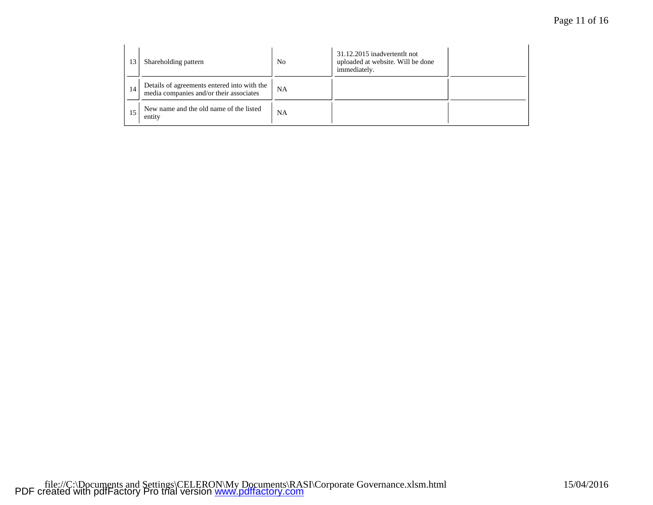| 13 | Shareholding pattern                                                                   | No | 31.12.2015 inadvertentlt not<br>uploaded at website. Will be done<br>immediately. |  |
|----|----------------------------------------------------------------------------------------|----|-----------------------------------------------------------------------------------|--|
| 14 | Details of agreements entered into with the<br>media companies and/or their associates | NA |                                                                                   |  |
| 15 | New name and the old name of the listed<br>entity                                      | NA |                                                                                   |  |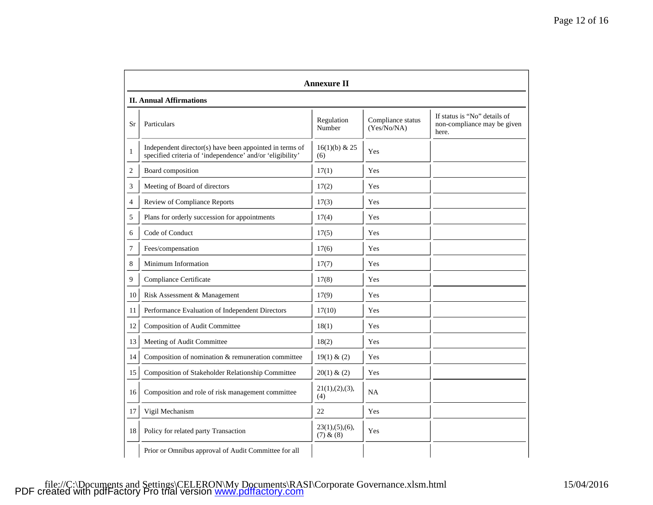|    | <b>Annexure II</b>                                                                                                   |                               |                                  |                                                                      |  |  |  |
|----|----------------------------------------------------------------------------------------------------------------------|-------------------------------|----------------------------------|----------------------------------------------------------------------|--|--|--|
|    | <b>II. Annual Affirmations</b>                                                                                       |                               |                                  |                                                                      |  |  |  |
| Sr | Particulars                                                                                                          | Regulation<br>Number          | Compliance status<br>(Yes/No/NA) | If status is "No" details of<br>non-compliance may be given<br>here. |  |  |  |
| 1  | Independent director(s) have been appointed in terms of<br>specified criteria of 'independence' and/or 'eligibility' | $16(1)(b)$ & 25<br>(6)        | Yes                              |                                                                      |  |  |  |
| 2  | Board composition                                                                                                    | 17(1)                         | Yes                              |                                                                      |  |  |  |
| 3  | Meeting of Board of directors                                                                                        | 17(2)                         | Yes                              |                                                                      |  |  |  |
| 4  | Review of Compliance Reports                                                                                         | 17(3)                         | Yes                              |                                                                      |  |  |  |
| 5  | Plans for orderly succession for appointments                                                                        | 17(4)                         | Yes                              |                                                                      |  |  |  |
| 6  | Code of Conduct                                                                                                      | 17(5)                         | Yes                              |                                                                      |  |  |  |
| 7  | Fees/compensation                                                                                                    | 17(6)                         | Yes                              |                                                                      |  |  |  |
| 8  | Minimum Information                                                                                                  | 17(7)                         | Yes                              |                                                                      |  |  |  |
| 9  | Compliance Certificate                                                                                               | 17(8)                         | Yes                              |                                                                      |  |  |  |
| 10 | Risk Assessment & Management                                                                                         | 17(9)                         | Yes                              |                                                                      |  |  |  |
| 11 | Performance Evaluation of Independent Directors                                                                      | 17(10)                        | Yes                              |                                                                      |  |  |  |
| 12 | Composition of Audit Committee                                                                                       | 18(1)                         | Yes                              |                                                                      |  |  |  |
| 13 | Meeting of Audit Committee                                                                                           | 18(2)                         | Yes                              |                                                                      |  |  |  |
| 14 | Composition of nomination & remuneration committee                                                                   | 19(1) & (2)                   | Yes                              |                                                                      |  |  |  |
| 15 | Composition of Stakeholder Relationship Committee                                                                    | 20(1) & (2)                   | Yes                              |                                                                      |  |  |  |
| 16 | Composition and role of risk management committee                                                                    | 21(1),(2),(3),<br>(4)         | <b>NA</b>                        |                                                                      |  |  |  |
| 17 | Vigil Mechanism                                                                                                      | 22                            | Yes                              |                                                                      |  |  |  |
| 18 | Policy for related party Transaction                                                                                 | 23(1), (5), (6),<br>(7) & (8) | Yes                              |                                                                      |  |  |  |
|    | Prior or Omnibus approval of Audit Committee for all                                                                 |                               |                                  |                                                                      |  |  |  |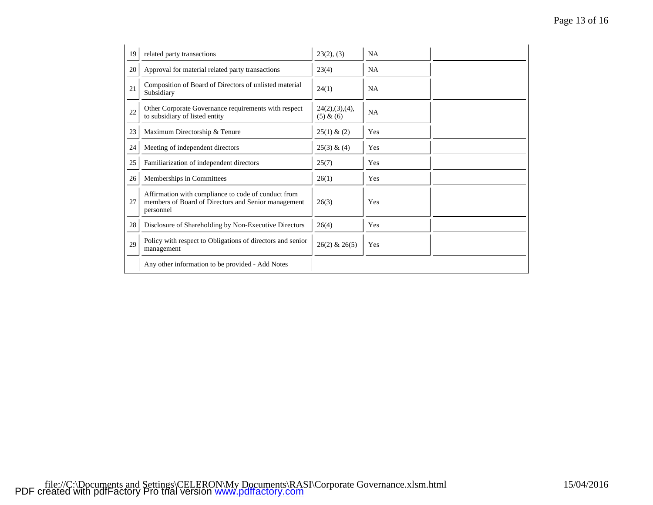| 19 | related party transactions                                                                                              | 23(2), (3)                    | <b>NA</b> |  |
|----|-------------------------------------------------------------------------------------------------------------------------|-------------------------------|-----------|--|
| 20 | Approval for material related party transactions                                                                        | 23(4)                         | <b>NA</b> |  |
| 21 | Composition of Board of Directors of unlisted material<br>Subsidiary                                                    | 24(1)                         | <b>NA</b> |  |
| 22 | Other Corporate Governance requirements with respect<br>to subsidiary of listed entity                                  | 24(2), (3), (4),<br>(5) & (6) | <b>NA</b> |  |
| 23 | Maximum Directorship & Tenure                                                                                           | 25(1) & (2)                   | Yes       |  |
| 24 | Meeting of independent directors                                                                                        | 25(3) & (4)                   | Yes       |  |
| 25 | Familiarization of independent directors                                                                                | 25(7)                         | Yes       |  |
| 26 | Memberships in Committees                                                                                               | 26(1)                         | Yes       |  |
| 27 | Affirmation with compliance to code of conduct from<br>members of Board of Directors and Senior management<br>personnel | 26(3)                         | Yes       |  |
| 28 | Disclosure of Shareholding by Non-Executive Directors                                                                   | 26(4)                         | Yes       |  |
| 29 | Policy with respect to Obligations of directors and senior<br>management                                                | $26(2)$ & $26(5)$             | Yes       |  |
|    | Any other information to be provided - Add Notes                                                                        |                               |           |  |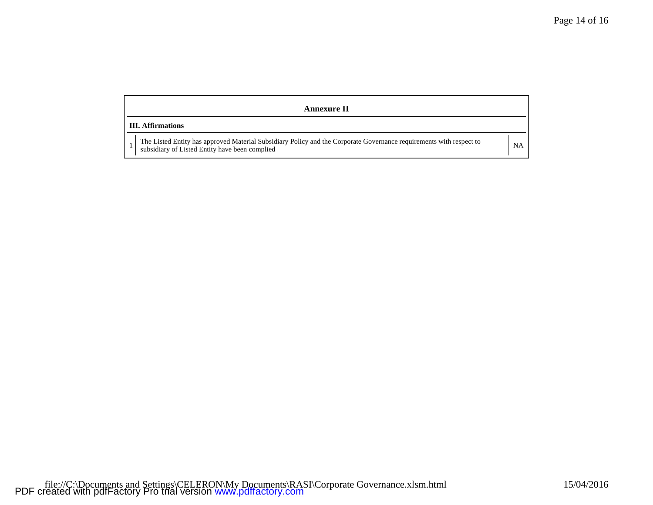| Annexure II              |  |                                                                                                                                                                       |    |  |  |  |
|--------------------------|--|-----------------------------------------------------------------------------------------------------------------------------------------------------------------------|----|--|--|--|
| <b>III.</b> Affirmations |  |                                                                                                                                                                       |    |  |  |  |
|                          |  | The Listed Entity has approved Material Subsidiary Policy and the Corporate Governance requirements with respect to<br>subsidiary of Listed Entity have been complied | NA |  |  |  |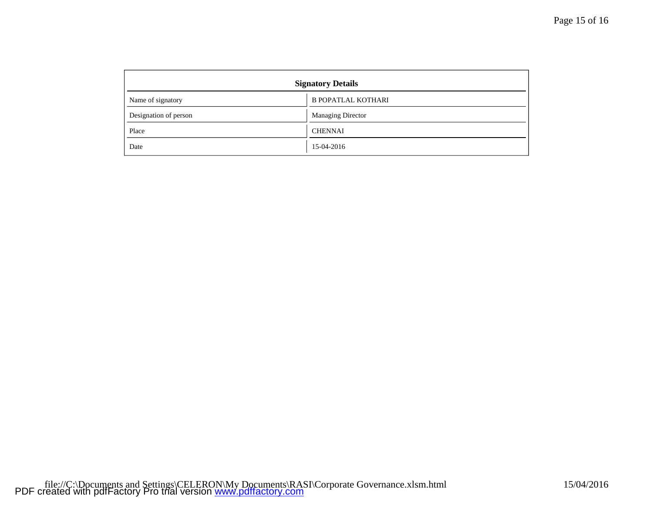| <b>Signatory Details</b> |                           |  |  |  |
|--------------------------|---------------------------|--|--|--|
| Name of signatory        | <b>B POPATLAL KOTHARI</b> |  |  |  |
| Designation of person    | <b>Managing Director</b>  |  |  |  |
| Place                    | <b>CHENNAI</b>            |  |  |  |
| Date                     | 15-04-2016                |  |  |  |